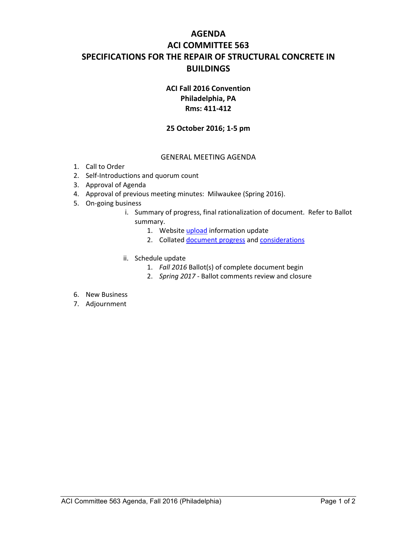# **AGENDA ACI COMMITTEE 563 SPECIFICATIONS FOR THE REPAIR OF STRUCTURAL CONCRETE IN BUILDINGS**

## **ACI Fall 2016 Convention Philadelphia, PA Rms: 411-412**

### **25 October 2016; 1-5 pm**

#### GENERAL MEETING AGENDA

- 1. Call to Order
- 2. Self-Introductions and quorum count
- 3. Approval of Agenda
- 4. Approval of previous meeting minutes: Milwaukee (Spring 2016).
- 5. On-going business
	- i. Summary of progress, final rationalization of document. Refer to Ballot summary.
		- 1. Website upload information update
		- 2. Collated document progress and considerations
	- ii. Schedule update
		- 1. *Fall 2016* Ballot(s) of complete document begin
		- 2. *Spring 2017* Ballot comments review and closure
- 6. New Business
- 7. Adjournment